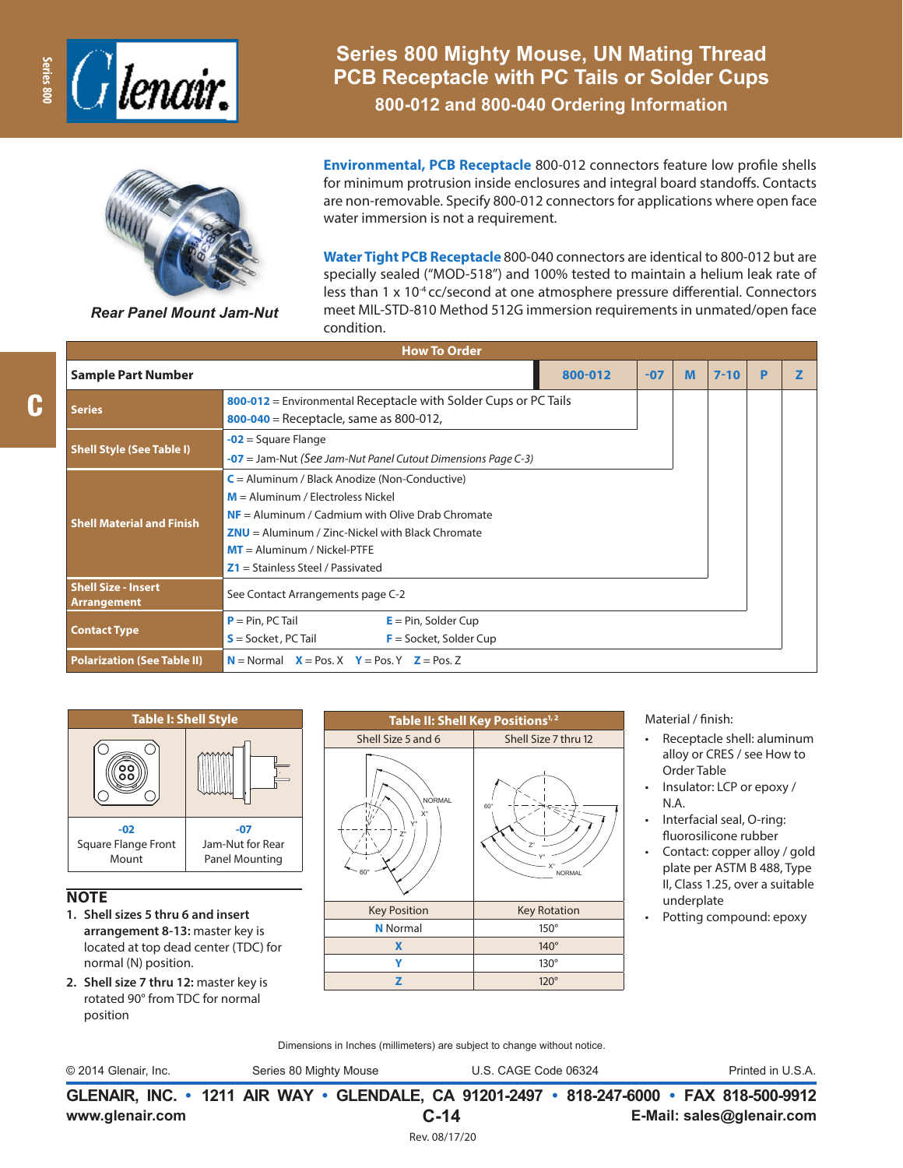

**Series 800 Mighty Mouse, UN Mating Thread PCB Receptacle with PC Tails or Solder Cups 800-012 and 800-040 Ordering Information**



*Rear Panel Mount Jam-Nut*

**Environmental, PCB Receptacle** 800-012 connectors feature low profile shells for minimum protrusion inside enclosures and integral board standoffs. Contacts are non-removable. Specify 800-012 connectors for applications where open face water immersion is not a requirement.

**Water Tight PCB Receptacle** 800-040 connectors are identical to 800-012 but are specially sealed ("MOD-518") and 100% tested to maintain a helium leak rate of less than 1 x 10<sup>-4</sup> cc/second at one atmosphere pressure differential. Connectors meet MIL-STD-810 Method 512G immersion requirements in unmated/open face condition.

| <b>How To Order</b>                       |                                                                                                                                                                                                                                                                            |  |   |  |  |  |  |  |  |
|-------------------------------------------|----------------------------------------------------------------------------------------------------------------------------------------------------------------------------------------------------------------------------------------------------------------------------|--|---|--|--|--|--|--|--|
| <b>Sample Part Number</b>                 | 800-012<br>M<br>$7 - 10$<br>$-07$                                                                                                                                                                                                                                          |  | P |  |  |  |  |  |  |
| <b>Series</b>                             | 800-012 = Environmental Receptacle with Solder Cups or PC Tails<br>800-040 = Receptacle, same as 800-012,                                                                                                                                                                  |  |   |  |  |  |  |  |  |
| <b>Shell Style (See Table I)</b>          | $-02$ = Square Flange<br>$-07$ = Jam-Nut (See Jam-Nut Panel Cutout Dimensions Page C-3)                                                                                                                                                                                    |  |   |  |  |  |  |  |  |
| <b>Shell Material and Finish</b>          | $C =$ Aluminum / Black Anodize (Non-Conductive)<br>$M =$ Aluminum / Electroless Nickel<br>$NF =$ Aluminum / Cadmium with Olive Drab Chromate<br>$ZNU =$ Aluminum / Zinc-Nickel with Black Chromate<br>$MT =$ Aluminum / Nickel-PTFE<br>$Z1 =$ Stainless Steel / Passivated |  |   |  |  |  |  |  |  |
| <b>Shell Size - Insert</b><br>Arrangement | See Contact Arrangements page C-2                                                                                                                                                                                                                                          |  |   |  |  |  |  |  |  |
| <b>Contact Type</b>                       | $P = Pin, PC Tail$<br>$E = Pin$ , Solder Cup<br>$S = S$ ocket, PC Tail<br>$F =$ Socket, Solder Cup                                                                                                                                                                         |  |   |  |  |  |  |  |  |
| <b>Polarization (See Table II)</b>        | $N =$ Normal $X =$ Pos. X $Y =$ Pos. Y $Z =$ Pos. Z                                                                                                                                                                                                                        |  |   |  |  |  |  |  |  |



## **NOTE**

- **1. Shell sizes 5 thru 6 and insert arrangement 8-13:** master key is located at top dead center (TDC) for normal (N) position.
- **2. Shell size 7 thru 12:** master key is rotated 90° from TDC for normal position



Material / finish:

- Receptacle shell: aluminum alloy or CRES / see How to Order Table
- Insulator: LCP or epoxy / N.A.
- Interfacial seal, O-ring: fluorosilicone rubber
- Contact: copper alloy / gold plate per ASTM B 488, Type II, Class 1.25, over a suitable underplate
- Potting compound: epoxy

Dimensions in Inches (millimeters) are subject to change without notice.

© 2014 Glenair, Inc. Series 80 Mighty Mouse U.S. CAGE Code 06324 Printed in U.S.A.

**www.glenair.com E-Mail: sales@glenair.com GLENAIR, INC. • 1211 AIR WAY • GLENDALE, CA 91201-2497 • 818-247-6000 • FAX 818-500-9912 C-14** Rev. 08/17/20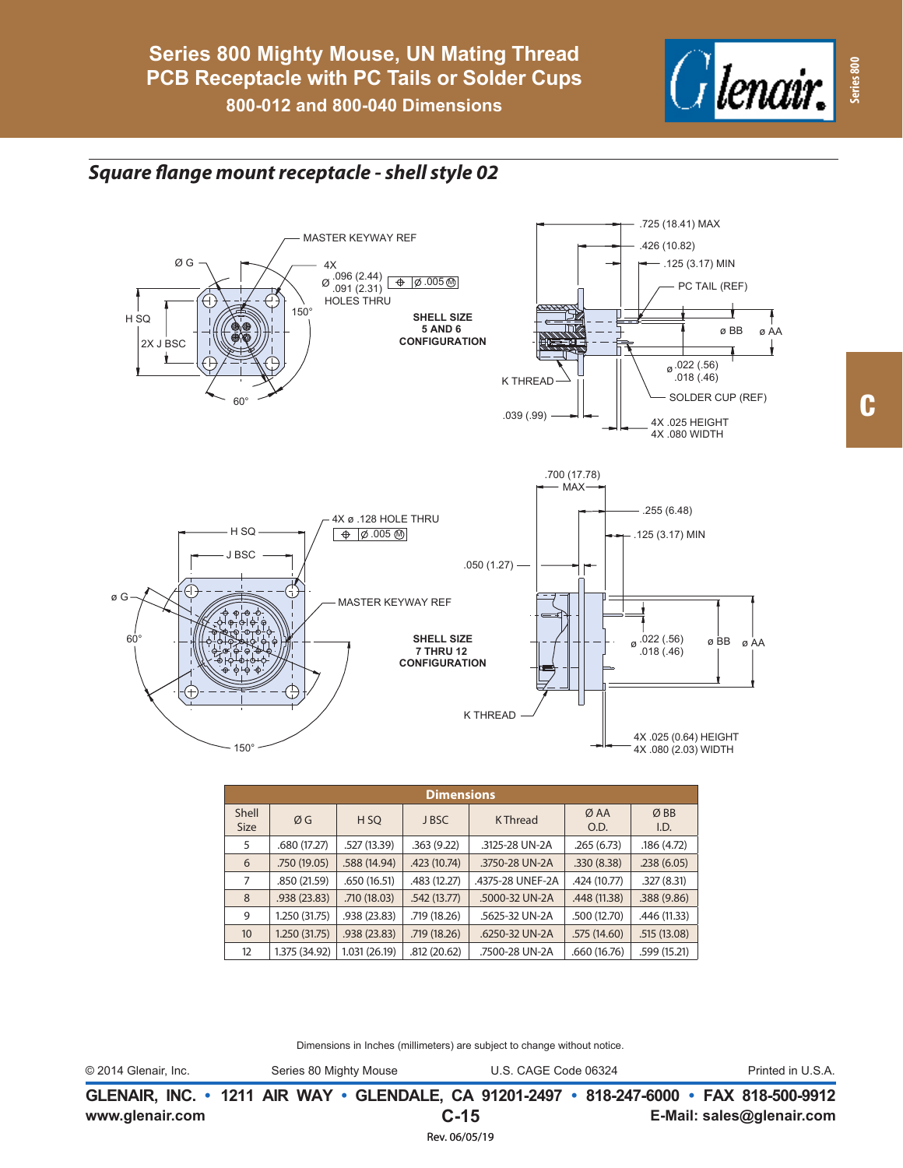

## *Square flange mount receptacle - shell style 02*



| <b>Dimensions</b>    |               |                 |              |                  |              |              |  |  |  |
|----------------------|---------------|-----------------|--------------|------------------|--------------|--------------|--|--|--|
| Shell<br><b>Size</b> | ØG            | H <sub>SO</sub> | J BSC        | <b>KThread</b>   | Ø AA<br>O.D. | ØBB<br>I.D.  |  |  |  |
| 5                    | .680 (17.27)  | .527 (13.39)    | .363(9.22)   | .3125-28 UN-2A   | .265(6.73)   | .186(4.72)   |  |  |  |
| 6                    | .750 (19.05)  | .588 (14.94)    | .423 (10.74) | .3750-28 UN-2A   | .330(8.38)   | .238(6.05)   |  |  |  |
| 7                    | .850 (21.59)  | .650 (16.51)    | .483 (12.27) | .4375-28 UNEF-2A | .424 (10.77) | .327(8.31)   |  |  |  |
| 8                    | .938(23.83)   | .710 (18.03)    | .542(13.77)  | .5000-32 UN-2A   | .448 (11.38) | .388 (9.86)  |  |  |  |
| 9                    | 1.250 (31.75) | .938 (23.83)    | .719 (18.26) | .5625-32 UN-2A   | .500 (12.70) | .446 (11.33) |  |  |  |
| 10 <sup>10</sup>     | 1.250 (31.75) | .938(23.83)     | .719 (18.26) | .6250-32 UN-2A   | .575 (14.60) | .515(13.08)  |  |  |  |
| 12                   | 1.375 (34.92) | 1.031 (26.19)   | .812(20.62)  | .7500-28 UN-2A   | .660 (16.76) | .599 (15.21) |  |  |  |

Dimensions in Inches (millimeters) are subject to change without notice.

**www.glenair.com E-Mail: sales@glenair.com GLENAIR, INC. • 1211 AIR WAY • GLENDALE, CA 91201-2497 • 818-247-6000 • FAX 818-500-9912 C-15** © 2014 Glenair, Inc. Series 80 Mighty Mouse U.S. CAGE Code 06324 Printed in U.S.A.

Rev. 06/05/19